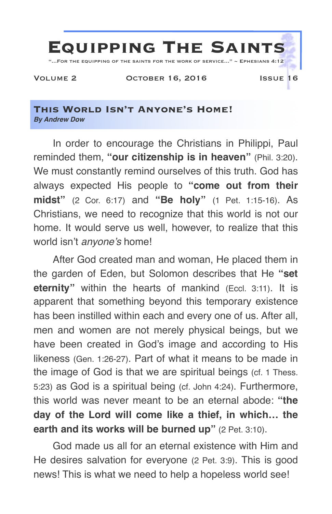

#### **This World Isn't Anyone's Home!** *By Andrew Dow*

In order to encourage the Christians in Philippi, Paul reminded them, **"our citizenship is in heaven"** (Phil. 3:20). We must constantly remind ourselves of this truth. God has always expected His people to **"come out from their midst"** (2 Cor. 6:17) and **"Be holy"** (1 Pet. 1:15-16). As Christians, we need to recognize that this world is not our home. It would serve us well, however, to realize that this world isn't *anyone's* home!

After God created man and woman, He placed them in the garden of Eden, but Solomon describes that He **"set eternity"** within the hearts of mankind (Eccl. 3:11). It is apparent that something beyond this temporary existence has been instilled within each and every one of us. After all, men and women are not merely physical beings, but we have been created in God's image and according to His likeness (Gen. 1:26-27). Part of what it means to be made in the image of God is that we are spiritual beings (cf. 1 Thess. 5:23) as God is a spiritual being (cf. John 4:24). Furthermore, this world was never meant to be an eternal abode: **"the day of the Lord will come like a thief, in which… the earth and its works will be burned up"** (2 Pet. 3:10).

God made us all for an eternal existence with Him and He desires salvation for everyone (2 Pet. 3:9). This is good news! This is what we need to help a hopeless world see!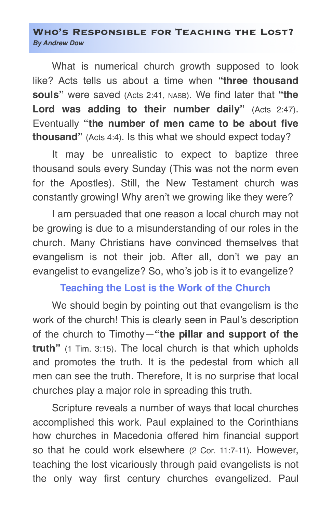#### **Who's Responsible for Teaching the Lost?** *By Andrew Dow*

What is numerical church growth supposed to look like? Acts tells us about a time when **"three thousand souls"** were saved (Acts 2:41, NASB). We find later that **"the Lord was adding to their number daily"** (Acts 2:47). Eventually **"the number of men came to be about five thousand"** (Acts 4:4). Is this what we should expect today?

It may be unrealistic to expect to baptize three thousand souls every Sunday (This was not the norm even for the Apostles). Still, the New Testament church was constantly growing! Why aren't we growing like they were?

I am persuaded that one reason a local church may not be growing is due to a misunderstanding of our roles in the church. Many Christians have convinced themselves that evangelism is not their job. After all, don't we pay an evangelist to evangelize? So, who's job is it to evangelize?

## **Teaching the Lost is the Work of the Church**

We should begin by pointing out that evangelism is the work of the church! This is clearly seen in Paul's description of the church to Timothy—**"the pillar and support of the truth"** (1 Tim. 3:15). The local church is that which upholds and promotes the truth. It is the pedestal from which all men can see the truth. Therefore, It is no surprise that local churches play a major role in spreading this truth.

Scripture reveals a number of ways that local churches accomplished this work. Paul explained to the Corinthians how churches in Macedonia offered him financial support so that he could work elsewhere (2 Cor. 11:7-11). However, teaching the lost vicariously through paid evangelists is not the only way first century churches evangelized. Paul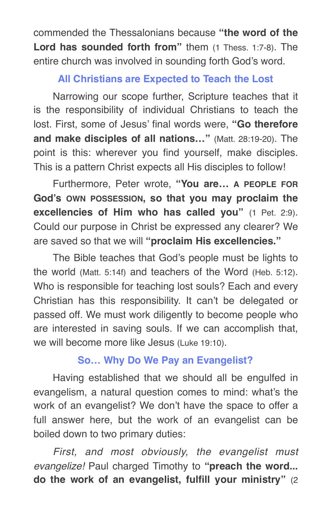commended the Thessalonians because **"the word of the Lord has sounded forth from"** them (1 Thess. 1:7-8). The entire church was involved in sounding forth God's word.

# **All Christians are Expected to Teach the Lost**

Narrowing our scope further, Scripture teaches that it is the responsibility of individual Christians to teach the lost. First, some of Jesus' final words were, **"Go therefore and make disciples of all nations…"** (Matt. 28:19-20). The point is this: wherever you find yourself, make disciples. This is a pattern Christ expects all His disciples to follow!

Furthermore, Peter wrote, **"You are… A PEOPLE FOR God's OWN POSSESSION, so that you may proclaim the excellencies of Him who has called you"** (1 Pet. 2:9). Could our purpose in Christ be expressed any clearer? We are saved so that we will **"proclaim His excellencies."**

The Bible teaches that God's people must be lights to the world (Matt. 5:14f) and teachers of the Word (Heb. 5:12). Who is responsible for teaching lost souls? Each and every Christian has this responsibility. It can't be delegated or passed off. We must work diligently to become people who are interested in saving souls. If we can accomplish that, we will become more like Jesus (Luke 19:10).

# **So… Why Do We Pay an Evangelist?**

Having established that we should all be engulfed in evangelism, a natural question comes to mind: what's the work of an evangelist? We don't have the space to offer a full answer here, but the work of an evangelist can be boiled down to two primary duties:

*First, and most obviously, the evangelist must evangelize!* Paul charged Timothy to **"preach the word... do the work of an evangelist, fulfill your ministry"** (2